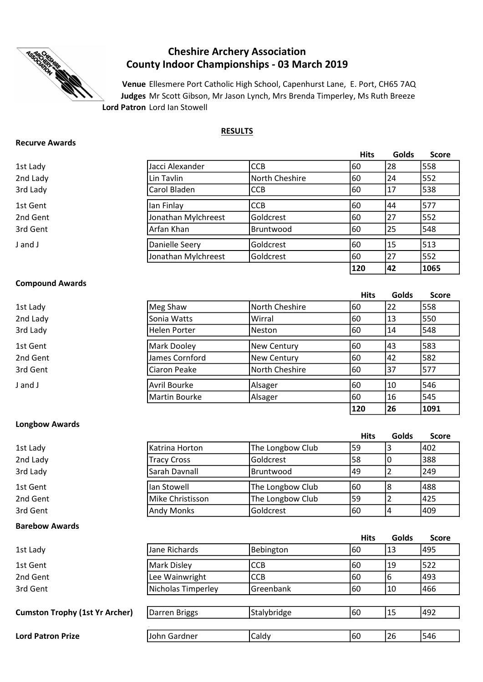

# Cheshire Archery Association County Indoor Championships - 03 March 2019

Lord Patron Lord Ian Stowell Venue Ellesmere Port Catholic High School, Capenhurst Lane, E. Port, CH65 7AQ Judges Mr Scott Gibson, Mr Jason Lynch, Mrs Brenda Timperley, Ms Ruth Breeze

#### RESULTS

#### Recurve Awards

|          |                     |                | <b>Hits</b> | Golds | <b>Score</b> |
|----------|---------------------|----------------|-------------|-------|--------------|
| 1st Lady | Jacci Alexander     | <b>CCB</b>     | 60          | 28    | 558          |
| 2nd Lady | Lin Tavlin          | North Cheshire | 60          | 24    | 552          |
| 3rd Lady | Carol Bladen        | <b>ICCB</b>    | 60          | 17    | 538          |
| 1st Gent | lan Finlay          | <b>CCB</b>     | 60          | 44    | 577          |
| 2nd Gent | Jonathan Mylchreest | Goldcrest      | 60          | 27    | 552          |
| 3rd Gent | Arfan Khan          | Bruntwood      | 60          | 25    | 548          |
| J and J  | Danielle Seery      | Goldcrest      | 60          | 15    | 513          |
|          | Jonathan Mylchreest | Goldcrest      | 60          | 27    | 552          |
|          |                     |                | 120         | 42    | 1065         |

### Compound Awards

| 1st Lady | Meg Shaw       | North Cheshire | 60  | 22 | 558 |
|----------|----------------|----------------|-----|----|-----|
| 2nd Lady | Sonia Watts    | Wirral         | 160 | 13 | 550 |
| 3rd Lady | Helen Porter   | Neston         | 160 | 14 | 548 |
| 1st Gent | Mark Dooley    | New Century    | 60  | 43 | 583 |
| 2nd Gent | James Cornford | New Century    | 160 | 42 | 582 |
| 3rd Gent | Ciaron Peake   | North Cheshire | 160 | 37 | 577 |
| J and J  | Avril Bourke   | Alsager        | 60  | 10 | 546 |
|          | Martin Bourke  | Alsager        | 160 | 16 | 545 |

Hits Golds Score

120 26 1091

## Longbow Awards

|                                       |                    |                  | <b>Hits</b> | <b>Golds</b> | <b>Score</b> |
|---------------------------------------|--------------------|------------------|-------------|--------------|--------------|
| 1st Lady                              | Katrina Horton     | The Longbow Club | 59          | 3            | 402          |
| 2nd Lady                              | <b>Tracy Cross</b> | Goldcrest        | 58          | 0            | 388          |
| 3rd Lady                              | Sarah Davnall      | Bruntwood        | 49          | 2            | 249          |
| 1st Gent                              | lan Stowell        | The Longbow Club | 60          | 8            | 488          |
| 2nd Gent                              | Mike Christisson   | The Longbow Club | 59          | 2            | 425          |
| 3rd Gent                              | <b>Andy Monks</b>  | Goldcrest        | 60          | 4            | 409          |
|                                       |                    |                  |             |              |              |
| <b>Barebow Awards</b>                 |                    |                  |             |              |              |
|                                       |                    |                  | <b>Hits</b> | Golds        | <b>Score</b> |
| 1st Lady                              | Jane Richards      | Bebington        | 60          | 13           | 495          |
| 1st Gent                              | Mark Disley        | <b>CCB</b>       | 60          | 19           | 522          |
| 2nd Gent                              | Lee Wainwright     | <b>CCB</b>       | 60          | 6            | 493          |
| 3rd Gent                              | Nicholas Timperley | Greenbank        | 60          | 10           | 466          |
|                                       |                    |                  |             |              |              |
| <b>Cumston Trophy (1st Yr Archer)</b> | Darren Briggs      | Stalybridge      | 60          | 15           | 492          |

John Gardner

Lord Patron Prize **Example 26** 10th Gardner **1** Caldy 160 26 546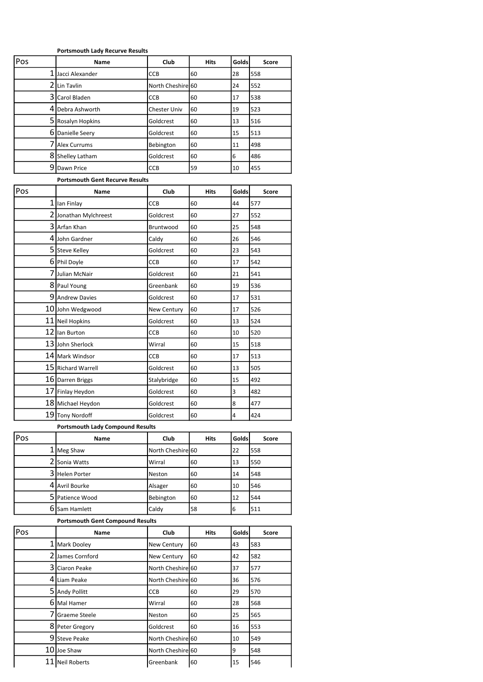#### Portsmouth Lady Recurve Results

| Pos | Name                                    | Club                          | Hits        | Golds        | Score        |
|-----|-----------------------------------------|-------------------------------|-------------|--------------|--------------|
| 1   | Jacci Alexander                         | CCB                           | 60          | 28           | 558          |
|     | 2 Lin Tavlin                            | North Cheshire 60             |             | 24           | 552          |
|     | 3 Carol Bladen                          | ССВ                           | 60          | 17           | 538          |
|     | 4 Debra Ashworth                        | Chester Univ                  | 60          | 19           | 523          |
|     | 5 Rosalyn Hopkins                       | Goldcrest                     | 60          | 13           | 516          |
|     | 6 Danielle Seery                        | Goldcrest                     | 60          | 15           | 513          |
|     | 7 Alex Currums                          | Bebington                     | 60          | 11           | 498          |
|     | 8 Shelley Latham                        | Goldcrest                     | 60          | 6            | 486          |
|     | 9 Dawn Price                            | CCB                           | 59          | 10           | 455          |
|     | <b>Portsmouth Gent Recurve Results</b>  |                               |             |              |              |
| Pos | Name                                    | Club                          | <b>Hits</b> | Golds        | <b>Score</b> |
|     | 1 lan Finlay                            | ССВ                           | 60          | 44           | 577          |
|     | 2 Jonathan Mylchreest                   | Goldcrest                     | 60          | 27           | 552          |
|     | 3 Arfan Khan                            | Bruntwood                     | 60          | 25           | 548          |
|     | 4 John Gardner                          | Caldy                         | 60          | 26           | 546          |
|     | 5 Steve Kelley                          | Goldcrest                     | 60          | 23           | 543          |
|     | 6 Phil Doyle                            | ССВ                           | 60          | 17           | 542          |
|     | 7 Julian McNair                         | Goldcrest                     | 60          | 21           | 541          |
|     | 8 Paul Young                            | Greenbank                     | 60          | 19           | 536          |
|     | 9 Andrew Davies                         | Goldcrest                     | 60          | 17           | 531          |
|     | 10 John Wedgwood                        | <b>New Century</b>            | 60          | 17           | 526          |
|     | 11 Neil Hopkins                         | Goldcrest                     | 60          | 13           | 524          |
|     | 12 Ilan Burton                          | CCB                           | 60          | 10           | 520          |
|     | 13 John Sherlock                        | Wirral                        | 60          | 15           | 518          |
|     | 14 Mark Windsor                         | ССВ                           | 60          | 17           | 513          |
|     | 15 Richard Warrell                      | Goldcrest                     | 60          | 13           | 505          |
|     | 16 Darren Briggs                        | Stalybridge                   | 60          | 15           | 492          |
|     | 17 Finlay Heydon                        | Goldcrest                     | 60          | 3            | 482          |
|     | 18 Michael Heydon                       | Goldcrest                     | 60          | 8            | 477          |
|     | 19 Tony Nordoff                         | Goldcrest                     | 60          | 4            | 424          |
|     | <b>Portsmouth Lady Compound Results</b> |                               |             |              |              |
| Pos | Name                                    | Club                          | Hits        | <b>Golds</b> | Score        |
|     | 1   Meg Shaw                            | North Cheshire 60             |             | 22           | 558          |
|     | 2 Sonia Watts                           | Wirral                        | 60          | 13           | 550          |
|     | 3 Helen Porter                          | Neston                        | 60          | 14           | 548          |
|     | 4 Avril Bourke                          | Alsager                       | 60          | 10           | 546          |
|     | 5 Patience Wood                         | Bebington                     | 60          | 12           | 544          |
|     | 6 Sam Hamlett                           | Caldy                         | 58          | 6            | 511          |
|     | <b>Portsmouth Gent Compound Results</b> |                               |             |              |              |
| Pos | Name                                    | Club                          | <b>Hits</b> | Golds        | Score        |
|     | 1 Mark Dooley                           | New Century                   | 60          | 43           | 583          |
|     | 2 James Cornford                        | New Century                   | 60          | 42           | 582          |
|     | 3 Ciaron Peake                          | North Cheshire 60             |             | 37           | 577          |
|     | 4 Liam Peake                            | North Cheshire 60             |             | 36           | 576          |
|     | 5 Andy Pollitt                          | ССВ                           | 60          | 29           | 570          |
|     | 6 Mal Hamer                             | Wirral                        | 60          | 28           | 568          |
|     | 7 Graeme Steele                         | Neston                        | 60          | 25           | 565          |
|     | 8 Peter Gregory                         | Goldcrest                     | 60          | 16           | 553          |
|     | 9 Steve Peake                           | North Cheshire 60             |             | 10           | 549          |
|     | 10 Joe Shaw                             | North Cheshire <sup>160</sup> |             | 9            | 548          |
|     | 11 Neil Roberts                         | Greenbank                     | 60          | 15           | 546          |
|     |                                         |                               |             |              |              |